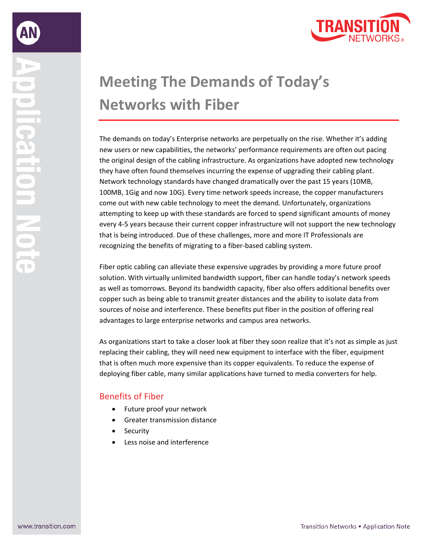

## **Meeting The Demands of Today's Networks with Fiber**

The demands on today's Enterprise networks are perpetually on the rise. Whether it's adding new users or new capabilities, the networks' performance requirements are often out pacing the original design of the cabling infrastructure. As organizations have adopted new technology they have often found themselves incurring the expense of upgrading their cabling plant. Network technology standards have changed dramatically over the past 15 years (10MB, 100MB, 1Gig and now 10G). Every time network speeds increase, the copper manufacturers come out with new cable technology to meet the demand. Unfortunately, organizations attempting to keep up with these standards are forced to spend significant amounts of money every 4-5 years because their current copper infrastructure will not support the new technology that is being introduced. Due of these challenges, more and more IT Professionals are recognizing the benefits of migrating to a fiber-based cabling system.

Fiber optic cabling can alleviate these expensive upgrades by providing a more future proof solution. With virtually unlimited bandwidth support, fiber can handle today's network speeds as well as tomorrows. Beyond its bandwidth capacity, fiber also offers additional benefits over copper such as being able to transmit greater distances and the ability to isolate data from sources of noise and interference. These benefits put fiber in the position of offering real advantages to large enterprise networks and campus area networks.

As organizations start to take a closer look at fiber they soon realize that it's not as simple as just replacing their cabling, they will need new equipment to interface with the fiber, equipment that is often much more expensive than its copper equivalents. To reduce the expense of deploying fiber cable, many similar applications have turned to media converters for help.

## Benefits of Fiber

- Future proof your network
- Greater transmission distance
- **Security**
- Less noise and interference